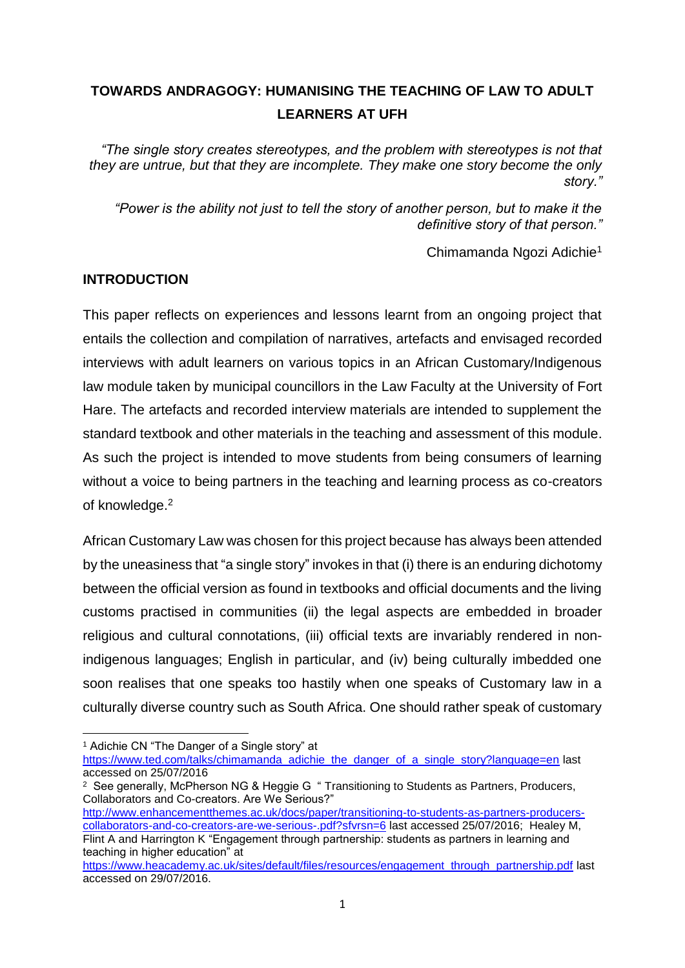# **TOWARDS ANDRAGOGY: HUMANISING THE TEACHING OF LAW TO ADULT LEARNERS AT UFH**

*"The single story creates stereotypes, and the problem with stereotypes is not that they are untrue, but that they are incomplete. They make one story become the only story."*

*"Power is the ability not just to tell the story of another person, but to make it the definitive story of that person."*

Chimamanda Ngozi Adichie<sup>1</sup>

## **INTRODUCTION**

This paper reflects on experiences and lessons learnt from an ongoing project that entails the collection and compilation of narratives, artefacts and envisaged recorded interviews with adult learners on various topics in an African Customary/Indigenous law module taken by municipal councillors in the Law Faculty at the University of Fort Hare. The artefacts and recorded interview materials are intended to supplement the standard textbook and other materials in the teaching and assessment of this module. As such the project is intended to move students from being consumers of learning without a voice to being partners in the teaching and learning process as co-creators of knowledge.<sup>2</sup>

African Customary Law was chosen for this project because has always been attended by the uneasiness that "a single story" invokes in that (i) there is an enduring dichotomy between the official version as found in textbooks and official documents and the living customs practised in communities (ii) the legal aspects are embedded in broader religious and cultural connotations, (iii) official texts are invariably rendered in nonindigenous languages; English in particular, and (iv) being culturally imbedded one soon realises that one speaks too hastily when one speaks of Customary law in a culturally diverse country such as South Africa. One should rather speak of customary

**.** 

[http://www.enhancementthemes.ac.uk/docs/paper/transitioning-to-students-as-partners-producers](http://www.enhancementthemes.ac.uk/docs/paper/transitioning-to-students-as-partners-producers-collaborators-and-co-creators-are-we-serious-.pdf?sfvrsn=6)[collaborators-and-co-creators-are-we-serious-.pdf?sfvrsn=6](http://www.enhancementthemes.ac.uk/docs/paper/transitioning-to-students-as-partners-producers-collaborators-and-co-creators-are-we-serious-.pdf?sfvrsn=6) last accessed 25/07/2016; Healey M,

<sup>1</sup> Adichie CN "The Danger of a Single story" at

[https://www.ted.com/talks/chimamanda\\_adichie\\_the\\_danger\\_of\\_a\\_single\\_story?language=en](https://www.ted.com/talks/chimamanda_adichie_the_danger_of_a_single_story?language=en) last accessed on 25/07/2016

<sup>&</sup>lt;sup>2</sup> See generally, McPherson NG & Heggie G " Transitioning to Students as Partners, Producers, Collaborators and Co-creators. Are We Serious?"

Flint A and Harrington K "Engagement through partnership: students as partners in learning and teaching in higher education" at

[https://www.heacademy.ac.uk/sites/default/files/resources/engagement\\_through\\_partnership.pdf](https://www.heacademy.ac.uk/sites/default/files/resources/engagement_through_partnership.pdf) last accessed on 29/07/2016.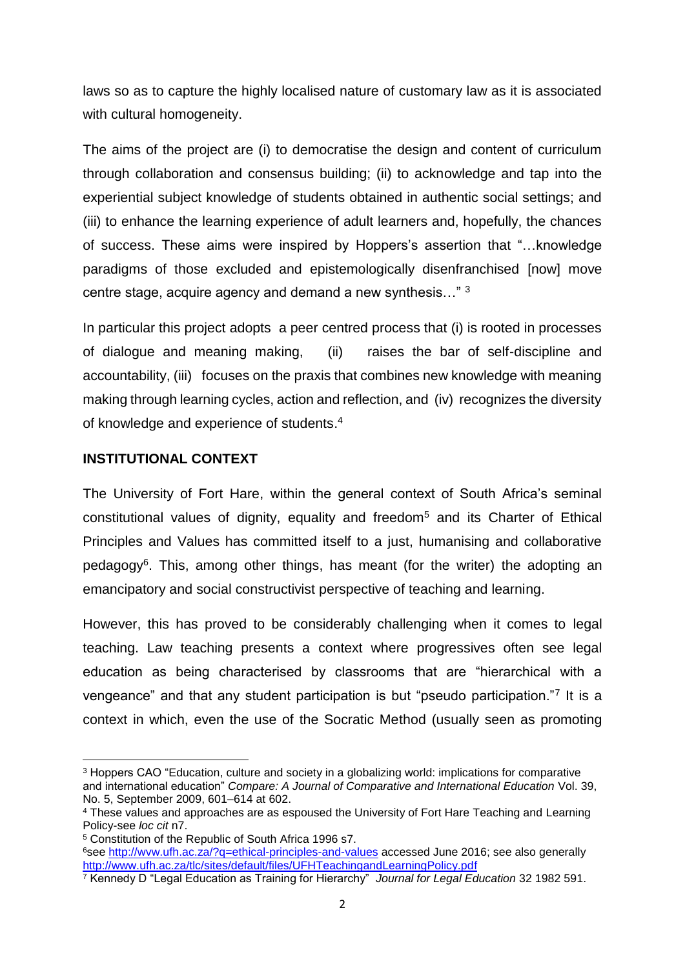laws so as to capture the highly localised nature of customary law as it is associated with cultural homogeneity.

The aims of the project are (i) to democratise the design and content of curriculum through collaboration and consensus building; (ii) to acknowledge and tap into the experiential subject knowledge of students obtained in authentic social settings; and (iii) to enhance the learning experience of adult learners and, hopefully, the chances of success. These aims were inspired by Hoppers's assertion that "…knowledge paradigms of those excluded and epistemologically disenfranchised [now] move centre stage, acquire agency and demand a new synthesis…" <sup>3</sup>

In particular this project adopts a peer centred process that (i) is rooted in processes of dialogue and meaning making, (ii) raises the bar of self-discipline and accountability, (iii) focuses on the praxis that combines new knowledge with meaning making through learning cycles, action and reflection, and (iv) recognizes the diversity of knowledge and experience of students. 4

#### **INSTITUTIONAL CONTEXT**

 $\overline{a}$ 

The University of Fort Hare, within the general context of South Africa's seminal constitutional values of dignity, equality and freedom<sup>5</sup> and its Charter of Ethical Principles and Values has committed itself to a just, humanising and collaborative pedagogy<sup>6</sup>. This, among other things, has meant (for the writer) the adopting an emancipatory and social constructivist perspective of teaching and learning.

However, this has proved to be considerably challenging when it comes to legal teaching. Law teaching presents a context where progressives often see legal education as being characterised by classrooms that are "hierarchical with a vengeance" and that any student participation is but "pseudo participation."<sup>7</sup> It is a context in which, even the use of the Socratic Method (usually seen as promoting

<sup>&</sup>lt;sup>3</sup> Hoppers CAO "Education, culture and society in a globalizing world: implications for comparative and international education" *Compare: A Journal of Comparative and International Education* Vol. 39, No. 5, September 2009, 601–614 at 602.

<sup>4</sup> These values and approaches are as espoused the University of Fort Hare Teaching and Learning Policy-see *loc cit* n7.

<sup>5</sup> Constitution of the Republic of South Africa 1996 s7.

<sup>6</sup>see<http://wvw.ufh.ac.za/?q=ethical-principles-and-values> accessed June 2016; see also generally <http://www.ufh.ac.za/tlc/sites/default/files/UFHTeachingandLearningPolicy.pdf>

<sup>7</sup> Kennedy D "Legal Education as Training for Hierarchy" *Journal for Legal Education* 32 1982 591.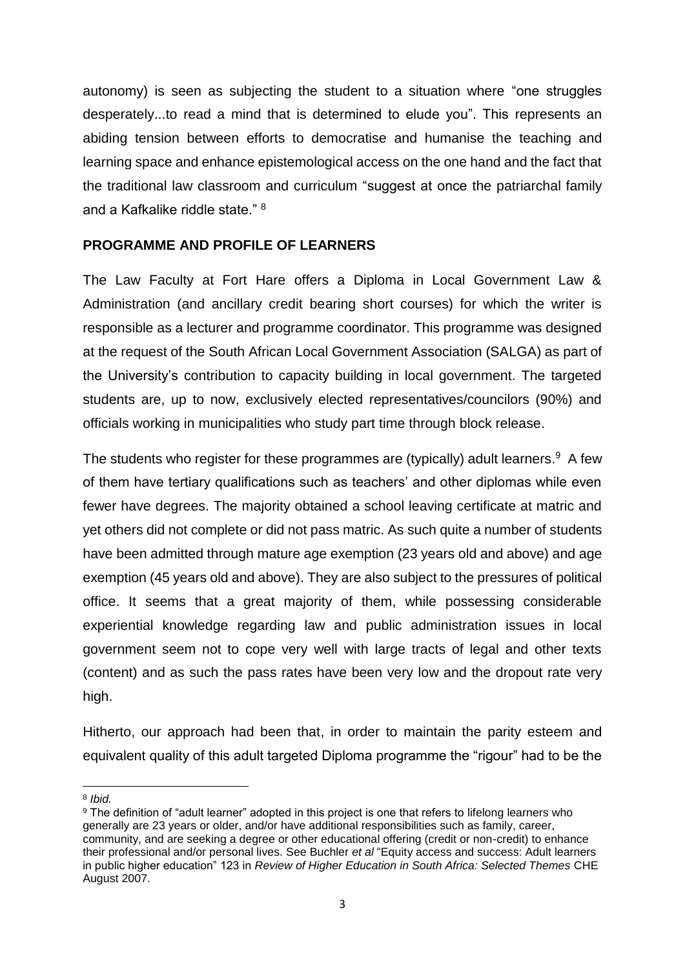autonomy) is seen as subjecting the student to a situation where "one struggles desperately...to read a mind that is determined to elude you". This represents an abiding tension between efforts to democratise and humanise the teaching and learning space and enhance epistemological access on the one hand and the fact that the traditional law classroom and curriculum "suggest at once the patriarchal family and a Kafkalike riddle state." <sup>8</sup>

#### **PROGRAMME AND PROFILE OF LEARNERS**

The Law Faculty at Fort Hare offers a Diploma in Local Government Law & Administration (and ancillary credit bearing short courses) for which the writer is responsible as a lecturer and programme coordinator. This programme was designed at the request of the South African Local Government Association (SALGA) as part of the University's contribution to capacity building in local government. The targeted students are, up to now, exclusively elected representatives/councilors (90%) and officials working in municipalities who study part time through block release.

The students who register for these programmes are (typically) adult learners.<sup>9</sup> A few of them have tertiary qualifications such as teachers' and other diplomas while even fewer have degrees. The majority obtained a school leaving certificate at matric and yet others did not complete or did not pass matric. As such quite a number of students have been admitted through mature age exemption (23 years old and above) and age exemption (45 years old and above). They are also subject to the pressures of political office. It seems that a great majority of them, while possessing considerable experiential knowledge regarding law and public administration issues in local government seem not to cope very well with large tracts of legal and other texts (content) and as such the pass rates have been very low and the dropout rate very high.

Hitherto, our approach had been that, in order to maintain the parity esteem and equivalent quality of this adult targeted Diploma programme the "rigour" had to be the

**.** 8 *Ibid.*

<sup>9</sup> The definition of "adult learner" adopted in this project is one that refers to lifelong learners who generally are 23 years or older, and/or have additional responsibilities such as family, career, community, and are seeking a degree or other educational offering (credit or non-credit) to enhance their professional and/or personal lives. See Buchler *et al* "Equity access and success: Adult learners in public higher education" 123 in *Review of Higher Education in South Africa: Selected Themes* CHE August 2007.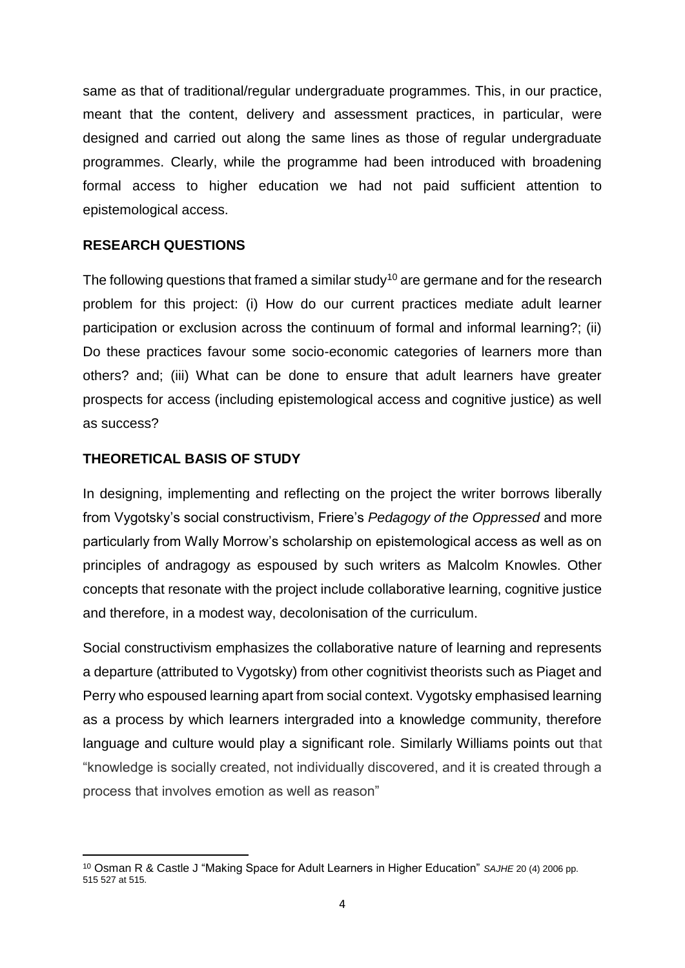same as that of traditional/regular undergraduate programmes. This, in our practice, meant that the content, delivery and assessment practices, in particular, were designed and carried out along the same lines as those of regular undergraduate programmes. Clearly, while the programme had been introduced with broadening formal access to higher education we had not paid sufficient attention to epistemological access.

#### **RESEARCH QUESTIONS**

The following questions that framed a similar study<sup>10</sup> are germane and for the research problem for this project: (i) How do our current practices mediate adult learner participation or exclusion across the continuum of formal and informal learning?; (ii) Do these practices favour some socio-economic categories of learners more than others? and; (iii) What can be done to ensure that adult learners have greater prospects for access (including epistemological access and cognitive justice) as well as success?

#### **THEORETICAL BASIS OF STUDY**

**.** 

In designing, implementing and reflecting on the project the writer borrows liberally from Vygotsky's social constructivism, Friere's *Pedagogy of the Oppressed* and more particularly from Wally Morrow's scholarship on epistemological access as well as on principles of andragogy as espoused by such writers as Malcolm Knowles. Other concepts that resonate with the project include collaborative learning, cognitive justice and therefore, in a modest way, decolonisation of the curriculum.

Social constructivism emphasizes the collaborative nature of learning and represents a departure (attributed to Vygotsky) from other cognitivist theorists such as Piaget and Perry who espoused learning apart from social context. Vygotsky emphasised learning as a process by which learners intergraded into a knowledge community, therefore language and culture would play a significant role. Similarly Williams points out that "knowledge is socially created, not individually discovered, and it is created through a process that involves emotion as well as reason"

<sup>10</sup> Osman R & Castle J "Making Space for Adult Learners in Higher Education" *SAJHE* 20 (4) 2006 pp. 515 527 at 515.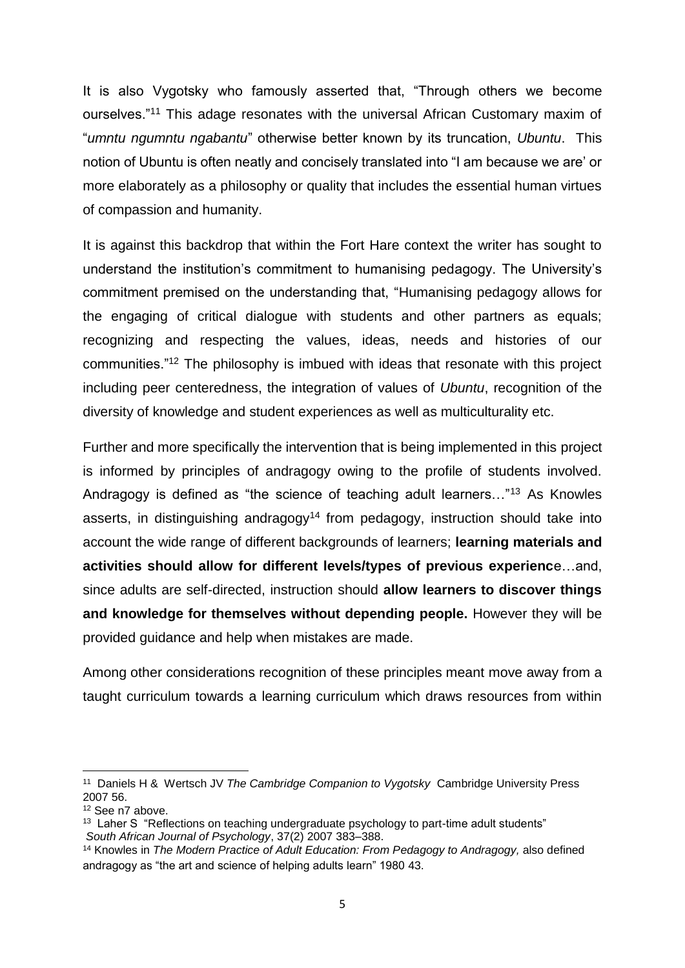It is also Vygotsky who famously asserted that, "Through others we become ourselves."<sup>11</sup> This adage resonates with the universal African Customary maxim of "*umntu ngumntu ngabantu*" otherwise better known by its truncation, *Ubuntu*. This notion of Ubuntu is often neatly and concisely translated into "I am because we are' or more elaborately as a philosophy or quality that includes the essential human virtues of compassion and humanity.

It is against this backdrop that within the Fort Hare context the writer has sought to understand the institution's commitment to humanising pedagogy. The University's commitment premised on the understanding that, "Humanising pedagogy allows for the engaging of critical dialogue with students and other partners as equals; recognizing and respecting the values, ideas, needs and histories of our communities."<sup>12</sup> The philosophy is imbued with ideas that resonate with this project including peer centeredness, the integration of values of *Ubuntu*, recognition of the diversity of knowledge and student experiences as well as multiculturality etc.

Further and more specifically the intervention that is being implemented in this project is informed by principles of andragogy owing to the profile of students involved. Andragogy is defined as "the science of teaching adult learners…"<sup>13</sup> As Knowles asserts, in distinguishing andragogy<sup>14</sup> from pedagogy, instruction should take into account the wide range of different backgrounds of learners; **learning materials and activities should allow for different levels/types of previous experienc**e…and, since adults are self-directed, instruction should **allow learners to discover things and knowledge for themselves without depending people.** However they will be provided guidance and help when mistakes are made.

Among other considerations recognition of these principles meant move away from a taught curriculum towards a learning curriculum which draws resources from within

**.** 

<sup>11</sup> Daniels H & Wertsch JV *The Cambridge Companion to Vygotsky* Cambridge University Press 2007 56.

<sup>12</sup> See n7 above.

<sup>&</sup>lt;sup>13</sup> Laher S "Reflections on teaching undergraduate psychology to part-time adult students" *South African Journal of Psychology*, 37(2) 2007 383–388.

<sup>14</sup> Knowles in *The Modern Practice of Adult Education: From Pedagogy to Andragogy,* also defined andragogy as "the art and science of helping adults learn" 1980 43.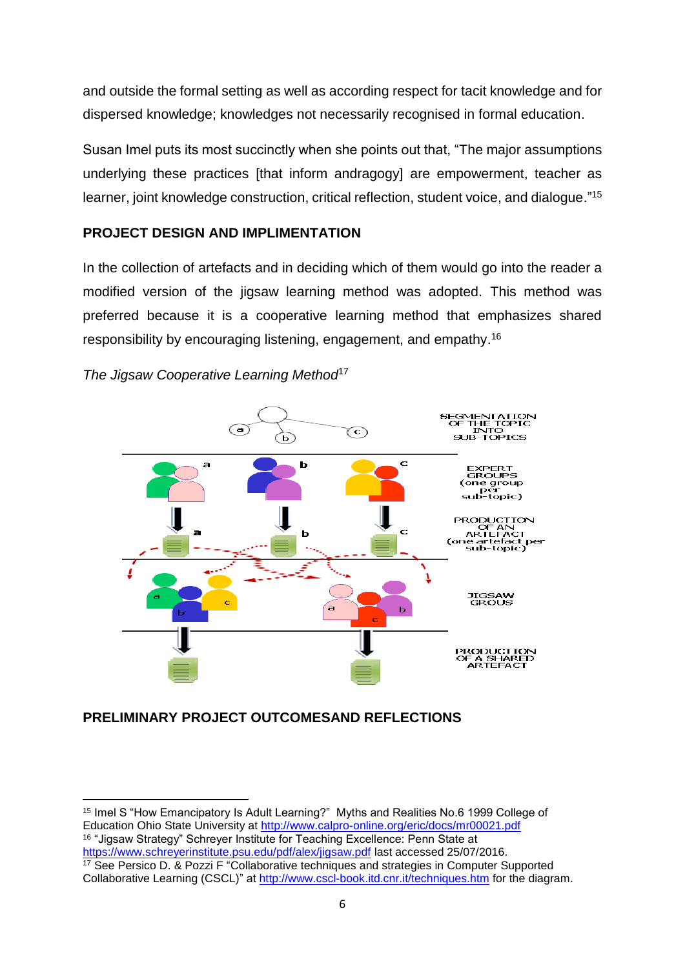and outside the formal setting as well as according respect for tacit knowledge and for dispersed knowledge; knowledges not necessarily recognised in formal education.

Susan Imel puts its most succinctly when she points out that, "The major assumptions underlying these practices [that inform andragogy] are empowerment, teacher as learner, joint knowledge construction, critical reflection, student voice, and dialogue."<sup>15</sup>

# **PROJECT DESIGN AND IMPLIMENTATION**

In the collection of artefacts and in deciding which of them would go into the reader a modified version of the jigsaw learning method was adopted. This method was preferred because it is a cooperative learning method that emphasizes shared responsibility by encouraging listening, engagement, and empathy.<sup>16</sup>



*The Jigsaw Cooperative Learning Method*<sup>17</sup>

## **PRELIMINARY PROJECT OUTCOMESAND REFLECTIONS**

1

<sup>15</sup> Imel S "How Emancipatory Is Adult Learning?" Myths and Realities No.6 1999 College of Education Ohio State University at<http://www.calpro-online.org/eric/docs/mr00021.pdf> <sup>16</sup> "Jigsaw Strategy" Schreyer Institute for Teaching Excellence: Penn State at <https://www.schreyerinstitute.psu.edu/pdf/alex/jigsaw.pdf> last accessed 25/07/2016. <sup>17</sup> See Persico D. & Pozzi F "Collaborative techniques and strategies in Computer Supported Collaborative Learning (CSCL)" at<http://www.cscl-book.itd.cnr.it/techniques.htm> for the diagram.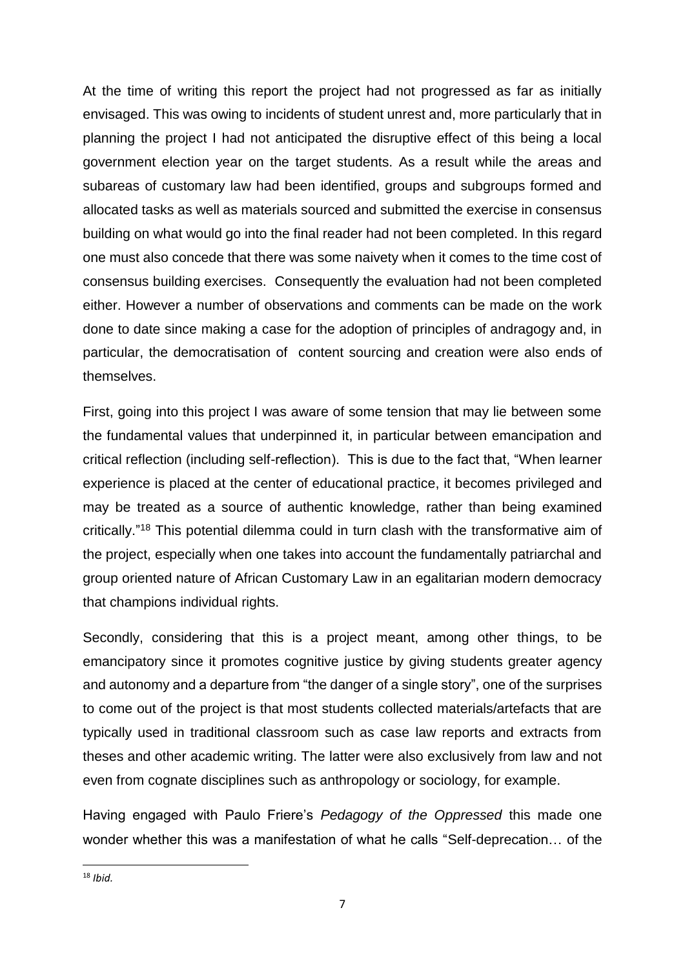At the time of writing this report the project had not progressed as far as initially envisaged. This was owing to incidents of student unrest and, more particularly that in planning the project I had not anticipated the disruptive effect of this being a local government election year on the target students. As a result while the areas and subareas of customary law had been identified, groups and subgroups formed and allocated tasks as well as materials sourced and submitted the exercise in consensus building on what would go into the final reader had not been completed. In this regard one must also concede that there was some naivety when it comes to the time cost of consensus building exercises. Consequently the evaluation had not been completed either. However a number of observations and comments can be made on the work done to date since making a case for the adoption of principles of andragogy and, in particular, the democratisation of content sourcing and creation were also ends of themselves.

First, going into this project I was aware of some tension that may lie between some the fundamental values that underpinned it, in particular between emancipation and critical reflection (including self-reflection). This is due to the fact that, "When learner experience is placed at the center of educational practice, it becomes privileged and may be treated as a source of authentic knowledge, rather than being examined critically."<sup>18</sup> This potential dilemma could in turn clash with the transformative aim of the project, especially when one takes into account the fundamentally patriarchal and group oriented nature of African Customary Law in an egalitarian modern democracy that champions individual rights.

Secondly, considering that this is a project meant, among other things, to be emancipatory since it promotes cognitive justice by giving students greater agency and autonomy and a departure from "the danger of a single story", one of the surprises to come out of the project is that most students collected materials/artefacts that are typically used in traditional classroom such as case law reports and extracts from theses and other academic writing. The latter were also exclusively from law and not even from cognate disciplines such as anthropology or sociology, for example.

Having engaged with Paulo Friere's *Pedagogy of the Oppressed* this made one wonder whether this was a manifestation of what he calls "Self-deprecation… of the

**<sup>.</sup>** <sup>18</sup> *Ibid.*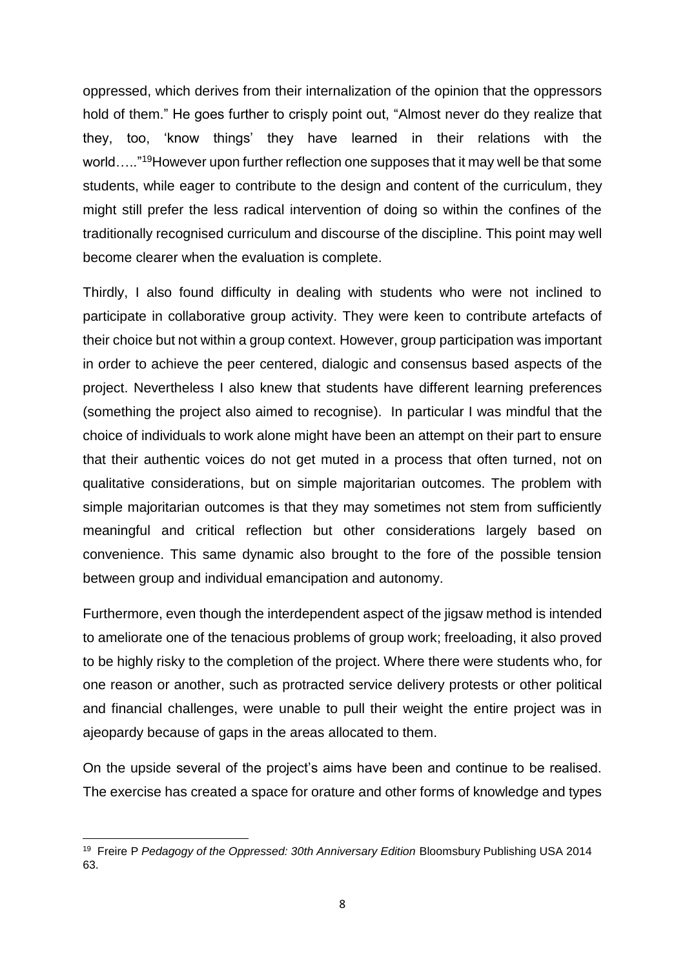oppressed, which derives from their internalization of the opinion that the oppressors hold of them." He goes further to crisply point out, "Almost never do they realize that they, too, 'know things' they have learned in their relations with the world....."<sup>19</sup>However upon further reflection one supposes that it may well be that some students, while eager to contribute to the design and content of the curriculum, they might still prefer the less radical intervention of doing so within the confines of the traditionally recognised curriculum and discourse of the discipline. This point may well become clearer when the evaluation is complete.

Thirdly, I also found difficulty in dealing with students who were not inclined to participate in collaborative group activity. They were keen to contribute artefacts of their choice but not within a group context. However, group participation was important in order to achieve the peer centered, dialogic and consensus based aspects of the project. Nevertheless I also knew that students have different learning preferences (something the project also aimed to recognise). In particular I was mindful that the choice of individuals to work alone might have been an attempt on their part to ensure that their authentic voices do not get muted in a process that often turned, not on qualitative considerations, but on simple majoritarian outcomes. The problem with simple majoritarian outcomes is that they may sometimes not stem from sufficiently meaningful and critical reflection but other considerations largely based on convenience. This same dynamic also brought to the fore of the possible tension between group and individual emancipation and autonomy.

Furthermore, even though the interdependent aspect of the jigsaw method is intended to ameliorate one of the tenacious problems of group work; freeloading, it also proved to be highly risky to the completion of the project. Where there were students who, for one reason or another, such as protracted service delivery protests or other political and financial challenges, were unable to pull their weight the entire project was in ajeopardy because of gaps in the areas allocated to them.

On the upside several of the project's aims have been and continue to be realised. The exercise has created a space for orature and other forms of knowledge and types

**<sup>.</sup>** 19 Freire P *Pedagogy of the Oppressed: 30th Anniversary Edition* Bloomsbury Publishing USA 2014 63.